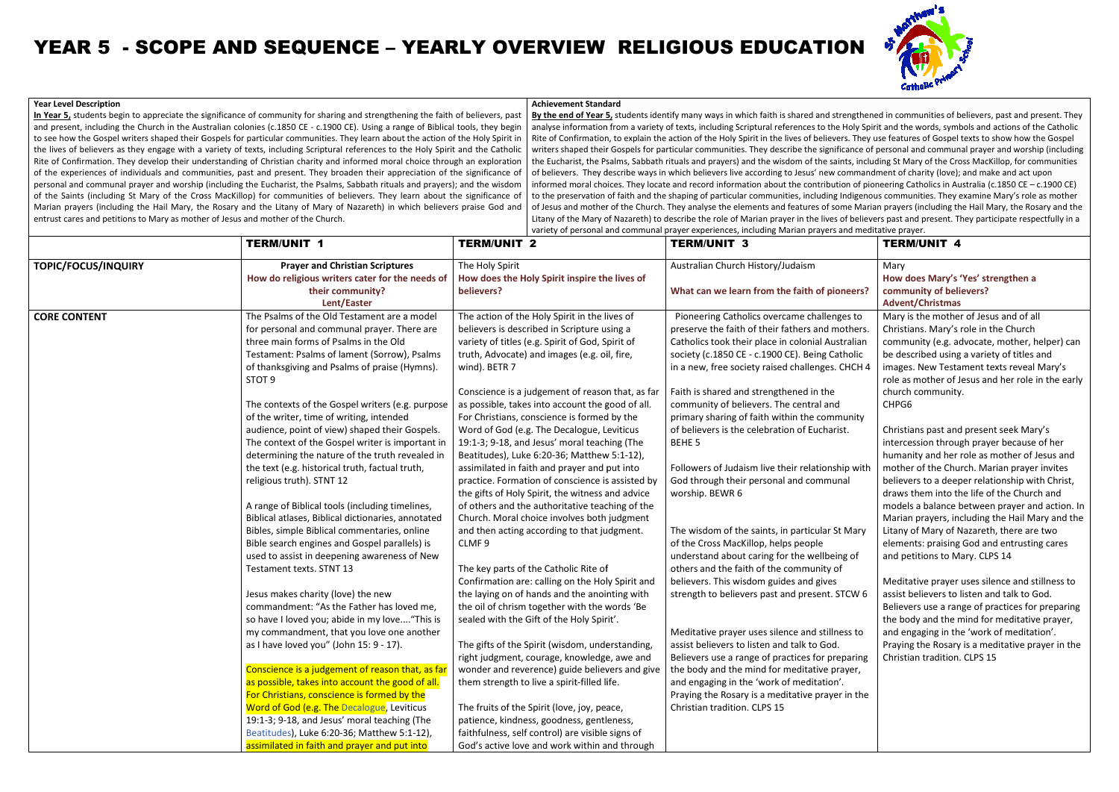**In Year 5,** students begin to appreciate the significance of community for sharing and strengthening the faith of believers, past <u>In Year 5,</u> students begin to appreciate the significance of community for sharing and strengthening the faith of believers, past<br>and present, including the Church in the Australian colonies (c.1850 CE - c.1900 CE). Using to see how the Gospel writers shaped their Gospels for particular communities. They learn about the action of the Holy Spirit in the lives of believers as they engage with a variety of texts, including Scriptural references to the Holy Spirit and the Cat Rite of Confirmation. They develop their understanding of Christian charity and informed moral choice through an exploration of the experiences of individuals and communities, past and present. They broaden their appreciation of the significance of personal and communal prayer and worship (including the Eucharist, the Psalms, Sabbath rituals and prayers); and the wisdom of the Saints (including St Mary of the Cross MacKillop) for communities of believers. They learn about the significance of Marian prayers (including the Hail Mary, the Rosary and the Litany of Mary of Nazareth) in which believers praise God and<br>entrust cares and petitions to Mary as mother of Jesus and mother of the Church. entrust cares and petitions to Mary as mother of Jesus and mother of the Church.to see how the Gospel writers shaped their Gospels for particular communities. They learn about the action of the Holy Spirit<br>the lives of believers as they engage with a variety of texts, including Scriptural references t Catholic sharing and strengthening the faith of believers, past<br>
1900 CE). Using a range of Biblical tools, they begin<br>
tities. They learn about the action of the Holy Spirit in<br>
ptural references to the Holy Spirit and the Catholi

## **Year Level Description**

## YEAR 5 - SCOPE AND SEQUENCE – YEARLY OVERVIEW RELIGIOUS EDUCATION

**By the end of Year 5,** students identify many ways in which faith is shared and strengthened in communities of believers, past and present. They <mark>By the end of Year 5,</mark> students identify many ways in which faith is shared and strengthened in communities of believers, past and present. They<br>analyse information from a variety of texts, including Scriptural references Rite of Confirmation, to explain the action of the Holy Spirit in the lives of believers. They use features of Gospel texts to show how the Gospel writers shaped their Gospels for particular communities. They describe the significance of personal and communal prayer and worship (including the Eucharist, the Psalms, Sabbath rituals and prayers) and the wisdom of the saints, including St Mary of the Cross MacKillop, for communities of believers. They describe ways in which believers live according to Jesus' new commandment of charity (love); and make and act upon of believers. They describe ways in which believers live according to Jesus' new commandment of charity (love); and make and act upon<br>informed moral choices. They locate and record information about the contribution of pio to the preservation of faith and the shaping of particular communities, including Indigenous communities. They examine Mary's role as mother of Jesus and mother of the Church. They analyse the elements and features of some Marian prayers (including the Hail Mary, the Rosary and the of Jesus and mother of the Church. They analyse the elements and features of some Marian prayers (including the Hail Mary, the Rosary and the<br>Litany of the Mary of Nazareth) to describe the role of Marian prayer in the liv variety of personal and communal prayer experiences, including Marian prayers and meditative prayer.es. They describe the significance of personal and communal prayer and word<br>) and the wisdom of the saints, including St Mary of the Cross MacKillop, for<br>re according to Jesus' new commandment of charity (love); and make a rit in the lives of believers. They use features of Gospel texts to show how the<br>They describe the significance of personal and communal prayer and worship (<br>Id the wisdom of the saints, including St Mary of the Cross MacK

|                            | <b>TERM/UNIT 1</b>                                                                                                                                                                                                                                                                                                                                                                                                                                                                                                                                                                                                                                                                                                                                                                                                                                                                                                             | <b>TERM/UNIT 2</b>                                                                                                                                                                                                                                                                                                                                                                                                                                                                                                                                                                                                                                                                                                                                                                                                                                                                                                                                                                                | variety or personal and communary prayer experiences, including ividital prayers and incultative prayer.<br><b>TERM/UNIT 3</b>                                                                                                                                                                                                                                                                                                                                                                                                                                                                                                                                                                                                                                                                                                                                                  | <b>TERM/UNIT 4</b>                                                                                                                                                                                                                                                                                                                                                                                                                                                                                                                                                                                                                                                                                                                                                                                                                                                                                                                           |
|----------------------------|--------------------------------------------------------------------------------------------------------------------------------------------------------------------------------------------------------------------------------------------------------------------------------------------------------------------------------------------------------------------------------------------------------------------------------------------------------------------------------------------------------------------------------------------------------------------------------------------------------------------------------------------------------------------------------------------------------------------------------------------------------------------------------------------------------------------------------------------------------------------------------------------------------------------------------|---------------------------------------------------------------------------------------------------------------------------------------------------------------------------------------------------------------------------------------------------------------------------------------------------------------------------------------------------------------------------------------------------------------------------------------------------------------------------------------------------------------------------------------------------------------------------------------------------------------------------------------------------------------------------------------------------------------------------------------------------------------------------------------------------------------------------------------------------------------------------------------------------------------------------------------------------------------------------------------------------|---------------------------------------------------------------------------------------------------------------------------------------------------------------------------------------------------------------------------------------------------------------------------------------------------------------------------------------------------------------------------------------------------------------------------------------------------------------------------------------------------------------------------------------------------------------------------------------------------------------------------------------------------------------------------------------------------------------------------------------------------------------------------------------------------------------------------------------------------------------------------------|----------------------------------------------------------------------------------------------------------------------------------------------------------------------------------------------------------------------------------------------------------------------------------------------------------------------------------------------------------------------------------------------------------------------------------------------------------------------------------------------------------------------------------------------------------------------------------------------------------------------------------------------------------------------------------------------------------------------------------------------------------------------------------------------------------------------------------------------------------------------------------------------------------------------------------------------|
| <b>TOPIC/FOCUS/INQUIRY</b> | <b>Prayer and Christian Scriptures</b><br>How do religious writers cater for the needs of<br>their community?<br>Lent/Easter                                                                                                                                                                                                                                                                                                                                                                                                                                                                                                                                                                                                                                                                                                                                                                                                   | The Holy Spirit<br>How does the Holy Spirit inspire the lives of<br>believers?                                                                                                                                                                                                                                                                                                                                                                                                                                                                                                                                                                                                                                                                                                                                                                                                                                                                                                                    | Australian Church History/Judaism<br>What can we learn from the faith of pioneers?                                                                                                                                                                                                                                                                                                                                                                                                                                                                                                                                                                                                                                                                                                                                                                                              | Mary<br>How does Mary's 'Yes' strengthen a<br>community of believers?<br><b>Advent/Christmas</b>                                                                                                                                                                                                                                                                                                                                                                                                                                                                                                                                                                                                                                                                                                                                                                                                                                             |
| <b>CORE CONTENT</b>        | The Psalms of the Old Testament are a model<br>for personal and communal prayer. There are<br>three main forms of Psalms in the Old<br>Testament: Psalms of lament (Sorrow), Psalms<br>of thanksgiving and Psalms of praise (Hymns).<br>STOT <sub>9</sub><br>The contexts of the Gospel writers (e.g. purpose<br>of the writer, time of writing, intended<br>audience, point of view) shaped their Gospels.<br>The context of the Gospel writer is important in<br>determining the nature of the truth revealed in<br>the text (e.g. historical truth, factual truth,<br>religious truth). STNT 12<br>A range of Biblical tools (including timelines,<br>Biblical atlases, Biblical dictionaries, annotated<br>Bibles, simple Biblical commentaries, online<br>Bible search engines and Gospel parallels) is<br>used to assist in deepening awareness of New<br>Testament texts. STNT 13<br>Jesus makes charity (love) the new | The action of the Holy Spirit in the lives of<br>believers is described in Scripture using a<br>variety of titles (e.g. Spirit of God, Spirit of<br>truth, Advocate) and images (e.g. oil, fire,<br>wind). BETR 7<br>Conscience is a judgement of reason that, as far<br>as possible, takes into account the good of all.<br>For Christians, conscience is formed by the<br>Word of God (e.g. The Decalogue, Leviticus<br>19:1-3; 9-18, and Jesus' moral teaching (The<br>Beatitudes), Luke 6:20-36; Matthew 5:1-12),<br>assimilated in faith and prayer and put into<br>practice. Formation of conscience is assisted by<br>the gifts of Holy Spirit, the witness and advice<br>of others and the authoritative teaching of the<br>Church. Moral choice involves both judgment<br>and then acting according to that judgment.<br>CLMF <sub>9</sub><br>The key parts of the Catholic Rite of<br>Confirmation are: calling on the Holy Spirit and<br>the laying on of hands and the anointing with | Pioneering Catholics overcame challenges to<br>preserve the faith of their fathers and mothers.<br>Catholics took their place in colonial Australian<br>society (c.1850 CE - c.1900 CE). Being Catholic<br>in a new, free society raised challenges. CHCH 4<br>Faith is shared and strengthened in the<br>community of believers. The central and<br>primary sharing of faith within the community<br>of believers is the celebration of Eucharist.<br>BEHE <sub>5</sub><br>Followers of Judaism live their relationship with<br>God through their personal and communal<br>worship. BEWR 6<br>The wisdom of the saints, in particular St Mary<br>of the Cross MacKillop, helps people<br>understand about caring for the wellbeing of<br>others and the faith of the community of<br>believers. This wisdom guides and gives<br>strength to believers past and present. STCW 6 | Mary is the mother of Jesus and of all<br>Christians. Mary's role in the Church<br>community (e.g. advocate, mother, helper) can<br>be described using a variety of titles and<br>images. New Testament texts reveal Mary's<br>role as mother of Jesus and her role in the early<br>church community.<br>CHPG6<br>Christians past and present seek Mary's<br>intercession through prayer because of her<br>humanity and her role as mother of Jesus and<br>mother of the Church. Marian prayer invites<br>believers to a deeper relationship with Christ,<br>draws them into the life of the Church and<br>models a balance between prayer and action. In<br>Marian prayers, including the Hail Mary and the<br>Litany of Mary of Nazareth, there are two<br>elements: praising God and entrusting cares<br>and petitions to Mary. CLPS 14<br>Meditative prayer uses silence and stillness to<br>assist believers to listen and talk to God. |
|                            | commandment: "As the Father has loved me,<br>so have I loved you; abide in my love "This is<br>my commandment, that you love one another<br>as I have loved you" (John 15: 9 - 17).<br>Conscience is a judgement of reason that, as far<br>as possible, takes into account the good of all.<br>For Christians, conscience is formed by the<br>Word of God (e.g. The Decalogue, Leviticus<br>19:1-3; 9-18, and Jesus' moral teaching (The<br>Beatitudes), Luke 6:20-36; Matthew 5:1-12),<br>assimilated in faith and prayer and put into                                                                                                                                                                                                                                                                                                                                                                                        | the oil of chrism together with the words 'Be<br>sealed with the Gift of the Holy Spirit'.<br>The gifts of the Spirit (wisdom, understanding,<br>right judgment, courage, knowledge, awe and<br>wonder and reverence) guide believers and give<br>them strength to live a spirit-filled life.<br>The fruits of the Spirit (love, joy, peace,<br>patience, kindness, goodness, gentleness,<br>faithfulness, self control) are visible signs of<br>God's active love and work within and through                                                                                                                                                                                                                                                                                                                                                                                                                                                                                                    | Meditative prayer uses silence and stillness to<br>assist believers to listen and talk to God.<br>Believers use a range of practices for preparing<br>the body and the mind for meditative prayer,<br>and engaging in the 'work of meditation'.<br>Praying the Rosary is a meditative prayer in the<br>Christian tradition. CLPS 15                                                                                                                                                                                                                                                                                                                                                                                                                                                                                                                                             | Believers use a range of practices for preparing<br>the body and the mind for meditative prayer,<br>and engaging in the 'work of meditation'.<br>Praying the Rosary is a meditative prayer in the<br>Christian tradition. CLPS 15                                                                                                                                                                                                                                                                                                                                                                                                                                                                                                                                                                                                                                                                                                            |

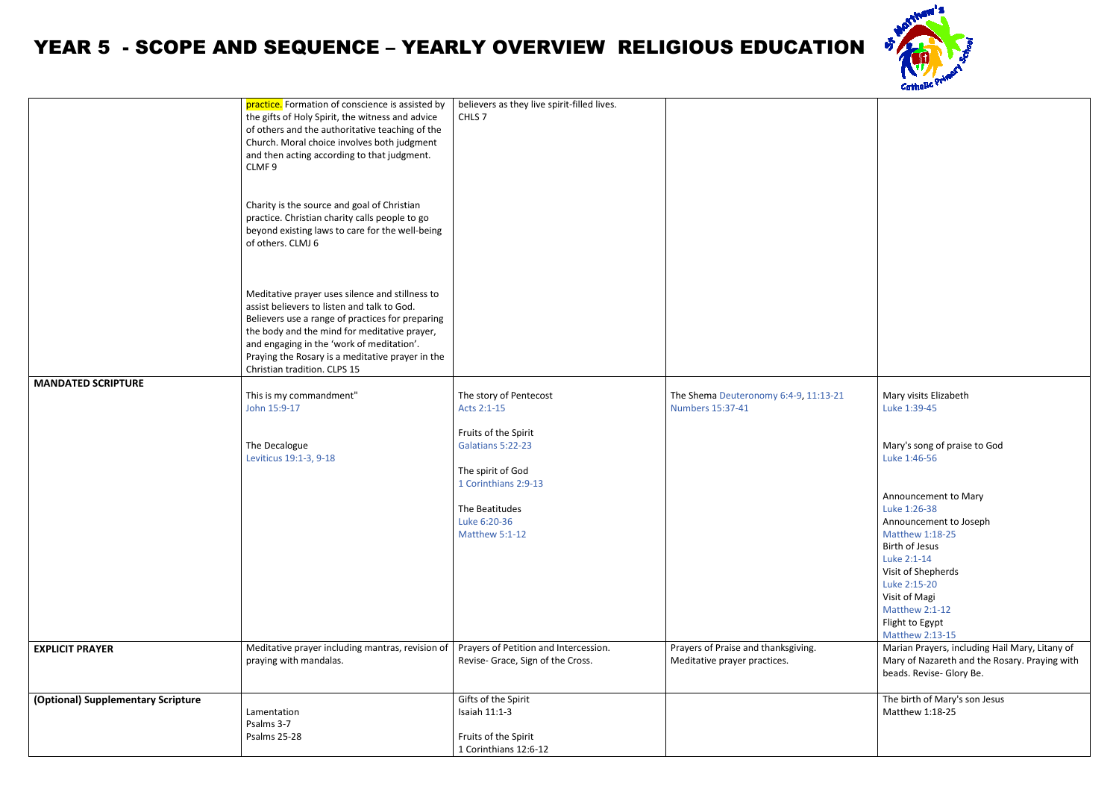## YEAR 5 - SCOPE AND SEQUENCE – YEARLY OVERVIEW RELIGIOUS EDUCATION

| <b>MANDATED SCRIPTURE</b>          | practice. Formation of conscience is assisted by<br>the gifts of Holy Spirit, the witness and advice<br>of others and the authoritative teaching of the<br>Church. Moral choice involves both judgment<br>and then acting according to that judgment.<br>CLMF9<br>Charity is the source and goal of Christian<br>practice. Christian charity calls people to go<br>beyond existing laws to care for the well-being<br>of others. CLMJ 6<br>Meditative prayer uses silence and stillness to<br>assist believers to listen and talk to God.<br>Believers use a range of practices for preparing<br>the body and the mind for meditative prayer,<br>and engaging in the 'work of meditation'.<br>Praying the Rosary is a meditative prayer in the<br>Christian tradition. CLPS 15<br>This is my commandment"<br>John 15:9-17<br>The Decalogue | believers as they live spirit-filled lives.<br>CHLS <sub>7</sub><br>The story of Pentecost<br>Acts 2:1-15<br>Fruits of the Spirit<br>Galatians 5:22-23                      | The Shema Deuteronomy 6:4-9, 11:13-21<br><b>Numbers 15:37-41</b>    |
|------------------------------------|--------------------------------------------------------------------------------------------------------------------------------------------------------------------------------------------------------------------------------------------------------------------------------------------------------------------------------------------------------------------------------------------------------------------------------------------------------------------------------------------------------------------------------------------------------------------------------------------------------------------------------------------------------------------------------------------------------------------------------------------------------------------------------------------------------------------------------------------|-----------------------------------------------------------------------------------------------------------------------------------------------------------------------------|---------------------------------------------------------------------|
| <b>EXPLICIT PRAYER</b>             | Leviticus 19:1-3, 9-18<br>Meditative prayer including mantras, revision of<br>praying with mandalas.                                                                                                                                                                                                                                                                                                                                                                                                                                                                                                                                                                                                                                                                                                                                       | The spirit of God<br>1 Corinthians 2:9-13<br>The Beatitudes<br>Luke 6:20-36<br>Matthew 5:1-12<br>Prayers of Petition and Intercession.<br>Revise- Grace, Sign of the Cross. | Prayers of Praise and thanksgiving.<br>Meditative prayer practices. |
|                                    |                                                                                                                                                                                                                                                                                                                                                                                                                                                                                                                                                                                                                                                                                                                                                                                                                                            |                                                                                                                                                                             |                                                                     |
| (Optional) Supplementary Scripture | Lamentation<br>Psalms 3-7<br><b>Psalms 25-28</b>                                                                                                                                                                                                                                                                                                                                                                                                                                                                                                                                                                                                                                                                                                                                                                                           | Gifts of the Spirit<br>Isaiah 11:1-3<br>Fruits of the Spirit                                                                                                                |                                                                     |
|                                    |                                                                                                                                                                                                                                                                                                                                                                                                                                                                                                                                                                                                                                                                                                                                                                                                                                            | 1 Corinthians 12:6-12                                                                                                                                                       |                                                                     |



| $1:13 - 21$ | Mary visits Elizabeth<br>Luke 1:39-45                                                                                       |
|-------------|-----------------------------------------------------------------------------------------------------------------------------|
|             | Mary's song of praise to God<br>Luke 1:46-56                                                                                |
|             | Announcement to Mary                                                                                                        |
|             | Luke 1:26-38                                                                                                                |
|             | Announcement to Joseph<br>Matthew 1:18-25                                                                                   |
|             | <b>Birth of Jesus</b>                                                                                                       |
|             | Luke 2:1-14                                                                                                                 |
|             | Visit of Shepherds                                                                                                          |
|             | Luke 2:15-20<br>Visit of Magi                                                                                               |
|             | Matthew 2:1-12                                                                                                              |
|             | Flight to Egypt                                                                                                             |
|             | Matthew 2:13-15                                                                                                             |
|             | Marian Prayers, including Hail Mary, Litany of<br>Mary of Nazareth and the Rosary. Praying with<br>beads. Revise- Glory Be. |
|             | The birth of Mary's son Jesus<br>Matthew 1:18-25                                                                            |
|             |                                                                                                                             |